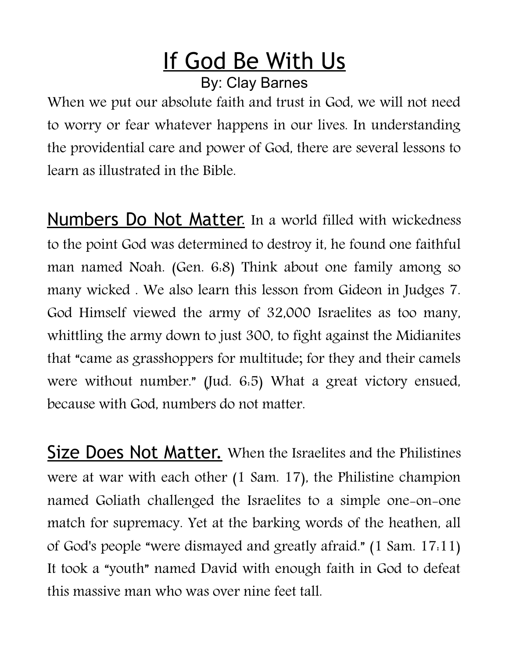## If God Be With Us By: Clay Barnes

When we put our absolute faith and trust in God, we will not need to worry or fear whatever happens in our lives. In understanding the providential care and power of God, there are several lessons to learn as illustrated in the Bible.

Numbers Do Not Matter. In a world filled with wickedness to the point God was determined to destroy it, he found one faithful man named Noah. (Gen. 6:8) Think about one family among so many wicked . We also learn this lesson from Gideon in Judges 7. God Himself viewed the army of 32,000 Israelites as too many, whittling the army down to just 300, to fight against the Midianites that "came as grasshoppers for multitude; for they and their camels were without number." (Jud. 6:5) What a great victory ensued, because with God, numbers do not matter.

Size Does Not Matter. When the Israelites and the Philistines were at war with each other (1 Sam. 17), the Philistine champion named Goliath challenged the Israelites to a simple one-on-one match for supremacy. Yet at the barking words of the heathen, all of God's people "were dismayed and greatly afraid." (1 Sam. 17:11) It took a "youth" named David with enough faith in God to defeat this massive man who was over nine feet tall.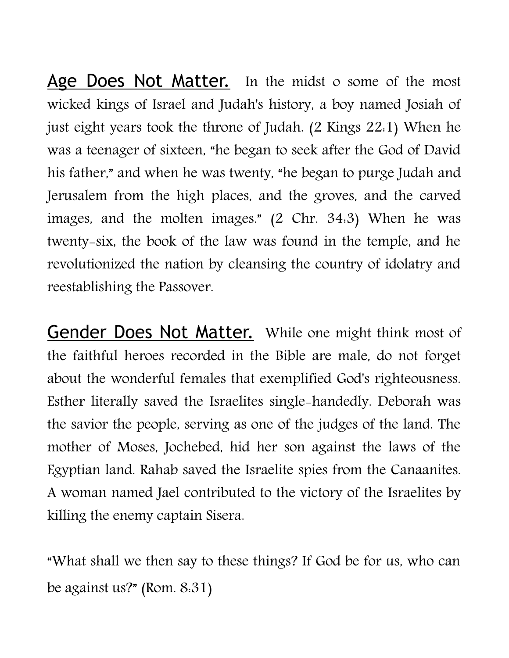Age Does Not Matter. In the midst o some of the most wicked kings of Israel and Judah's history, a boy named Josiah of just eight years took the throne of Judah. (2 Kings 22:1) When he was a teenager of sixteen, "he began to seek after the God of David his father," and when he was twenty, "he began to purge Judah and Jerusalem from the high places, and the groves, and the carved images, and the molten images." (2 Chr. 34:3) When he was twenty-six, the book of the law was found in the temple, and he revolutionized the nation by cleansing the country of idolatry and reestablishing the Passover.

Gender Does Not Matter. While one might think most of the faithful heroes recorded in the Bible are male, do not forget about the wonderful females that exemplified God's righteousness. Esther literally saved the Israelites single-handedly. Deborah was the savior the people, serving as one of the judges of the land. The mother of Moses, Jochebed, hid her son against the laws of the Egyptian land. Rahab saved the Israelite spies from the Canaanites. A woman named Jael contributed to the victory of the Israelites by killing the enemy captain Sisera.

"What shall we then say to these things? If God be for us, who can be against us?" (Rom. 8:31)